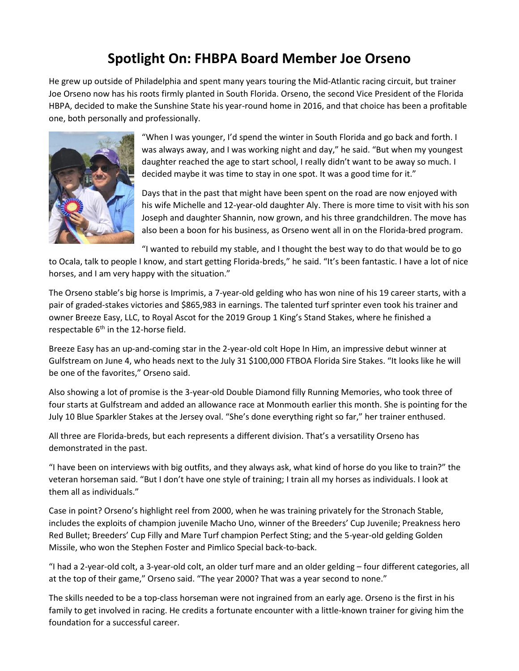## **Spotlight On: FHBPA Board Member Joe Orseno**

He grew up outside of Philadelphia and spent many years touring the Mid-Atlantic racing circuit, but trainer Joe Orseno now has his roots firmly planted in South Florida. Orseno, the second Vice President of the Florida HBPA, decided to make the Sunshine State his year-round home in 2016, and that choice has been a profitable one, both personally and professionally.



"When I was younger, I'd spend the winter in South Florida and go back and forth. I was always away, and I was working night and day," he said. "But when my youngest daughter reached the age to start school, I really didn't want to be away so much. I decided maybe it was time to stay in one spot. It was a good time for it."

Days that in the past that might have been spent on the road are now enjoyed with his wife Michelle and 12-year-old daughter Aly. There is more time to visit with his son Joseph and daughter Shannin, now grown, and his three grandchildren. The move has also been a boon for his business, as Orseno went all in on the Florida-bred program.

"I wanted to rebuild my stable, and I thought the best way to do that would be to go

to Ocala, talk to people I know, and start getting Florida-breds," he said. "It's been fantastic. I have a lot of nice horses, and I am very happy with the situation."

The Orseno stable's big horse is Imprimis, a 7-year-old gelding who has won nine of his 19 career starts, with a pair of graded-stakes victories and \$865,983 in earnings. The talented turf sprinter even took his trainer and owner Breeze Easy, LLC, to Royal Ascot for the 2019 Group 1 King's Stand Stakes, where he finished a respectable  $6<sup>th</sup>$  in the 12-horse field.

Breeze Easy has an up-and-coming star in the 2-year-old colt Hope In Him, an impressive debut winner at Gulfstream on June 4, who heads next to the July 31 \$100,000 FTBOA Florida Sire Stakes. "It looks like he will be one of the favorites," Orseno said.

Also showing a lot of promise is the 3-year-old Double Diamond filly Running Memories, who took three of four starts at Gulfstream and added an allowance race at Monmouth earlier this month. She is pointing for the July 10 Blue Sparkler Stakes at the Jersey oval. "She's done everything right so far," her trainer enthused.

All three are Florida-breds, but each represents a different division. That's a versatility Orseno has demonstrated in the past.

"I have been on interviews with big outfits, and they always ask, what kind of horse do you like to train?" the veteran horseman said. "But I don't have one style of training; I train all my horses as individuals. I look at them all as individuals."

Case in point? Orseno's highlight reel from 2000, when he was training privately for the Stronach Stable, includes the exploits of champion juvenile Macho Uno, winner of the Breeders' Cup Juvenile; Preakness hero Red Bullet; Breeders' Cup Filly and Mare Turf champion Perfect Sting; and the 5-year-old gelding Golden Missile, who won the Stephen Foster and Pimlico Special back-to-back.

"I had a 2-year-old colt, a 3-year-old colt, an older turf mare and an older gelding – four different categories, all at the top of their game," Orseno said. "The year 2000? That was a year second to none."

The skills needed to be a top-class horseman were not ingrained from an early age. Orseno is the first in his family to get involved in racing. He credits a fortunate encounter with a little-known trainer for giving him the foundation for a successful career.